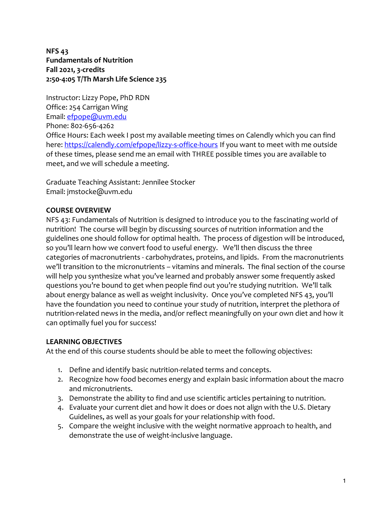**NFS 43 Fundamentals of Nutrition Fall 2021, 3-credits 2:50-4:05 T/Th Marsh Life Science 235**

Instructor: Lizzy Pope, PhD RDN Office: 254 Carrigan Wing Email: [efpope@uvm.edu](mailto:efpope@uvm.edu) Phone: 802-656-4262

Office Hours: Each week I post my available meeting times on Calendly which you can find here[: https://calendly.com/efpope/lizzy-s-office-hours](https://calendly.com/efpope/lizzy-s-office-hours) If you want to meet with me outside of these times, please send me an email with THREE possible times you are available to meet, and we will schedule a meeting.

Graduate Teaching Assistant: Jennilee Stocker Email: jmstocke@uvm.edu

## **COURSE OVERVIEW**

NFS 43: Fundamentals of Nutrition is designed to introduce you to the fascinating world of nutrition! The course will begin by discussing sources of nutrition information and the guidelines one should follow for optimal health. The process of digestion will be introduced, so you'll learn how we convert food to useful energy. We'll then discuss the three categories of macronutrients - carbohydrates, proteins, and lipids. From the macronutrients we'll transition to the micronutrients – vitamins and minerals. The final section of the course will help you synthesize what you've learned and probably answer some frequently asked questions you're bound to get when people find out you're studying nutrition. We'll talk about energy balance as well as weight inclusivity. Once you've completed NFS 43, you'll have the foundation you need to continue your study of nutrition, interpret the plethora of nutrition-related news in the media, and/or reflect meaningfully on your own diet and how it can optimally fuel you for success!

## **LEARNING OBJECTIVES**

At the end of this course students should be able to meet the following objectives:

- 1. Define and identify basic nutrition-related terms and concepts.
- 2. Recognize how food becomes energy and explain basic information about the macro and micronutrients.
- 3. Demonstrate the ability to find and use scientific articles pertaining to nutrition.
- 4. Evaluate your current diet and how it does or does not align with the U.S. Dietary Guidelines, as well as your goals for your relationship with food.
- 5. Compare the weight inclusive with the weight normative approach to health, and demonstrate the use of weight-inclusive language.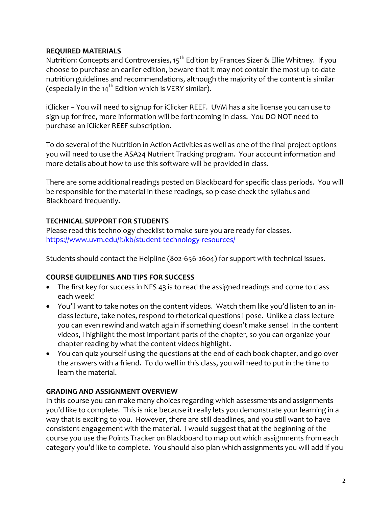## **REQUIRED MATERIALS**

Nutrition: Concepts and Controversies, 15<sup>th</sup> Edition by Frances Sizer & Ellie Whitney. If you choose to purchase an earlier edition, beware that it may not contain the most up-to-date nutrition guidelines and recommendations, although the majority of the content is similar (especially in the  $14^{th}$  Edition which is VERY similar).

iClicker – You will need to signup for iClicker REEF. UVM has a site license you can use to sign-up for free, more information will be forthcoming in class. You DO NOT need to purchase an iClicker REEF subscription.

To do several of the Nutrition in Action Activities as well as one of the final project options you will need to use the ASA24 Nutrient Tracking program. Your account information and more details about how to use this software will be provided in class.

There are some additional readings posted on Blackboard for specific class periods. You will be responsible for the material in these readings, so please check the syllabus and Blackboard frequently.

# **TECHNICAL SUPPORT FOR STUDENTS**

Please read this technology checklist to make sure you are ready for classes. <https://www.uvm.edu/it/kb/student-technology-resources/>

Students should contact the Helpline (802-656-2604) for support with technical issues.

## **COURSE GUIDELINES AND TIPS FOR SUCCESS**

- The first key for success in NFS 43 is to read the assigned readings and come to class each week!
- You'll want to take notes on the content videos. Watch them like you'd listen to an inclass lecture, take notes, respond to rhetorical questions I pose. Unlike a class lecture you can even rewind and watch again if something doesn't make sense! In the content videos, I highlight the most important parts of the chapter, so you can organize your chapter reading by what the content videos highlight.
- You can quiz yourself using the questions at the end of each book chapter, and go over the answers with a friend. To do well in this class, you will need to put in the time to learn the material.

## **GRADING AND ASSIGNMENT OVERVIEW**

In this course you can make many choices regarding which assessments and assignments you'd like to complete. This is nice because it really lets you demonstrate your learning in a way that is exciting to you. However, there are still deadlines, and you still want to have consistent engagement with the material. I would suggest that at the beginning of the course you use the Points Tracker on Blackboard to map out which assignments from each category you'd like to complete. You should also plan which assignments you will add if you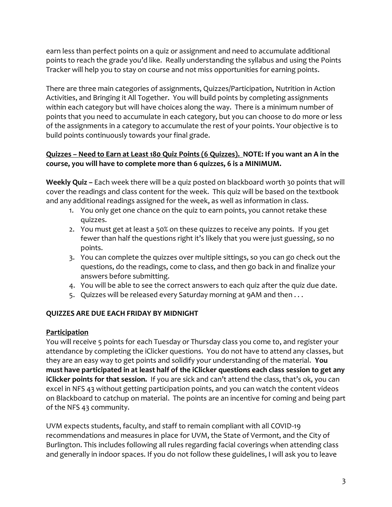earn less than perfect points on a quiz or assignment and need to accumulate additional points to reach the grade you'd like. Really understanding the syllabus and using the Points Tracker will help you to stay on course and not miss opportunities for earning points.

There are three main categories of assignments, Quizzes/Participation, Nutrition in Action Activities, and Bringing it All Together. You will build points by completing assignments within each category but will have choices along the way. There is a minimum number of points that you need to accumulate in each category, but you can choose to do more or less of the assignments in a category to accumulate the rest of your points. Your objective is to build points continuously towards your final grade.

# **Quizzes – Need to Earn at Least 180 Quiz Points (6 Quizzes). NOTE: If you want an A in the course, you will have to complete more than 6 quizzes, 6 is a MINIMUM.**

**Weekly Quiz –** Each week there will be a quiz posted on blackboard worth 30 points that will cover the readings and class content for the week. This quiz will be based on the textbook and any additional readings assigned for the week, as well as information in class.

- 1. You only get one chance on the quiz to earn points, you cannot retake these quizzes.
- 2. You must get at least a 50% on these quizzes to receive any points. If you get fewer than half the questions right it's likely that you were just guessing, so no points.
- 3. You can complete the quizzes over multiple sittings, so you can go check out the questions, do the readings, come to class, and then go back in and finalize your answers before submitting.
- 4. You will be able to see the correct answers to each quiz after the quiz due date.
- 5. Quizzes will be released every Saturday morning at 9AM and then . . .

## **QUIZZES ARE DUE EACH FRIDAY BY MIDNIGHT**

## **Participation**

You will receive 5 points for each Tuesday or Thursday class you come to, and register your attendance by completing the iClicker questions. You do not have to attend any classes, but they are an easy way to get points and solidify your understanding of the material. **You must have participated in at least half of the iClicker questions each class session to get any iClicker points for that session.** If you are sick and can't attend the class, that's ok, you can excel in NFS 43 without getting participation points, and you can watch the content videos on Blackboard to catchup on material. The points are an incentive for coming and being part of the NFS 43 community.

UVM expects students, faculty, and staff to remain compliant with all COVID-19 recommendations and measures in place for UVM, the State of Vermont, and the City of Burlington. This includes following all rules regarding facial coverings when attending class and generally in indoor spaces. If you do not follow these guidelines, I will ask you to leave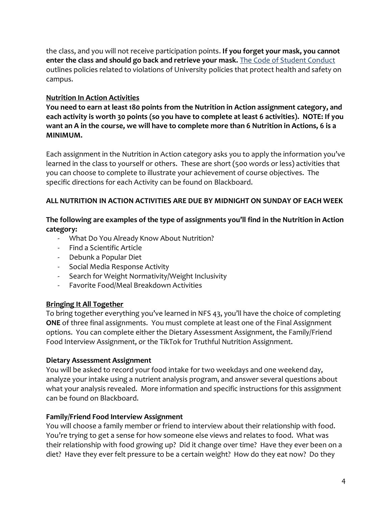the class, and you will not receive participation points. **If you forget your mask, you cannot enter the class and should go back and retrieve your mask.** The [Code of Student Conduct](https://www.uvm.edu/sites/default/files/UVM-Policies/policies/studentcode.pdf) outlines policies related to violations of University policies that protect health and safety on campus.

## **Nutrition In Action Activities**

**You need to earn at least 180 points from the Nutrition in Action assignment category, and each activity is worth 30 points (so you have to complete at least 6 activities). NOTE: If you want an A in the course, we will have to complete more than 6 Nutrition in Actions, 6 is a MINIMUM.**

Each assignment in the Nutrition in Action category asks you to apply the information you've learned in the class to yourself or others. These are short (500 words or less) activities that you can choose to complete to illustrate your achievement of course objectives. The specific directions for each Activity can be found on Blackboard.

## **ALL NUTRITION IN ACTION ACTIVITIES ARE DUE BY MIDNIGHT ON SUNDAY OF EACH WEEK**

## **The following are examples of the type of assignments you'll find in the Nutrition in Action category:**

- What Do You Already Know About Nutrition?
- Find a Scientific Article
- Debunk a Popular Diet
- Social Media Response Activity
- Search for Weight Normativity/Weight Inclusivity
- Favorite Food/Meal Breakdown Activities

## **Bringing It All Together**

To bring together everything you've learned in NFS 43, you'll have the choice of completing **ONE** of three final assignments. You must complete at least one of the Final Assignment options. You can complete either the Dietary Assessment Assignment, the Family/Friend Food Interview Assignment, or the TikTok for Truthful Nutrition Assignment.

## **Dietary Assessment Assignment**

You will be asked to record your food intake for two weekdays and one weekend day, analyze your intake using a nutrient analysis program, and answer several questions about what your analysis revealed. More information and specific instructions for this assignment can be found on Blackboard.

## **Family/Friend Food Interview Assignment**

You will choose a family member or friend to interview about their relationship with food. You're trying to get a sense for how someone else views and relates to food. What was their relationship with food growing up? Did it change over time? Have they ever been on a diet? Have they ever felt pressure to be a certain weight? How do they eat now? Do they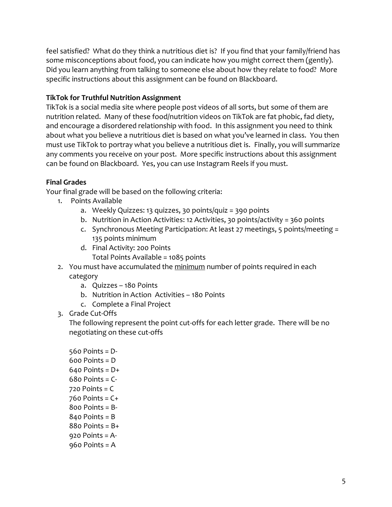feel satisfied? What do they think a nutritious diet is? If you find that your family/friend has some misconceptions about food, you can indicate how you might correct them (gently). Did you learn anything from talking to someone else about how they relate to food? More specific instructions about this assignment can be found on Blackboard.

## **TikTok for Truthful Nutrition Assignment**

TikTok is a social media site where people post videos of all sorts, but some of them are nutrition related. Many of these food/nutrition videos on TikTok are fat phobic, fad diety, and encourage a disordered relationship with food. In this assignment you need to think about what you believe a nutritious diet is based on what you've learned in class. You then must use TikTok to portray what you believe a nutritious diet is. Finally, you will summarize any comments you receive on your post. More specific instructions about this assignment can be found on Blackboard. Yes, you can use Instagram Reels if you must.

## **Final Grades**

Your final grade will be based on the following criteria:

- 1. Points Available
	- a. Weekly Quizzes: 13 quizzes, 30 points/quiz = 390 points
	- b. Nutrition in Action Activities: 12 Activities, 30 points/activity = 360 points
	- c. Synchronous Meeting Participation: At least 27 meetings, 5 points/meeting = 135 points minimum
	- d. Final Activity: 200 Points Total Points Available = 1085 points
- 2. You must have accumulated the minimum number of points required in each category
	- a. Quizzes 180 Points
	- b. Nutrition in Action Activities 180 Points
	- c. Complete a Final Project
- 3. Grade Cut-Offs

The following represent the point cut-offs for each letter grade. There will be no negotiating on these cut-offs

560 Points = D-600 Points = D Points =  $D+$  Points =  $C-$  Points =  $C$  Points =  $C+$  Points =  $B -$  Points = B Points =  $B+$  Points = A-Points = A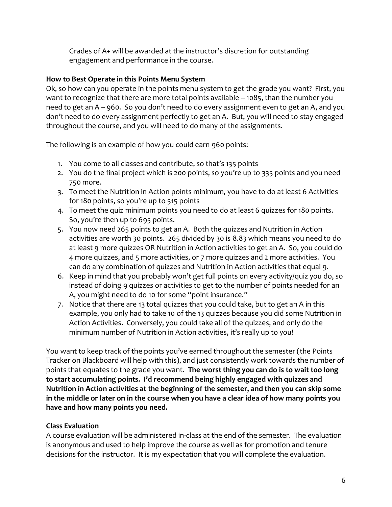Grades of A+ will be awarded at the instructor's discretion for outstanding engagement and performance in the course.

## **How to Best Operate in this Points Menu System**

Ok, so how can you operate in the points menu system to get the grade you want? First, you want to recognize that there are more total points available – 1085, than the number you need to get an A – 960. So you don't need to do every assignment even to get an A, and you don't need to do every assignment perfectly to get an A. But, you will need to stay engaged throughout the course, and you will need to do many of the assignments.

The following is an example of how you could earn 960 points:

- 1. You come to all classes and contribute, so that's 135 points
- 2. You do the final project which is 200 points, so you're up to 335 points and you need 750 more.
- 3. To meet the Nutrition in Action points minimum, you have to do at least 6 Activities for 180 points, so you're up to 515 points
- 4. To meet the quiz minimum points you need to do at least 6 quizzes for 180 points. So, you're then up to 695 points.
- 5. You now need 265 points to get an A. Both the quizzes and Nutrition in Action activities are worth 30 points. 265 divided by 30 is 8.83 which means you need to do at least 9 more quizzes OR Nutrition in Action activities to get an A. So, you could do 4 more quizzes, and 5 more activities, or 7 more quizzes and 2 more activities. You can do any combination of quizzes and Nutrition in Action activities that equal 9.
- 6. Keep in mind that you probably won't get full points on every activity/quiz you do, so instead of doing 9 quizzes or activities to get to the number of points needed for an A, you might need to do 10 for some "point insurance."
- 7. Notice that there are 13 total quizzes that you could take, but to get an A in this example, you only had to take 10 of the 13 quizzes because you did some Nutrition in Action Activities. Conversely, you could take all of the quizzes, and only do the minimum number of Nutrition in Action activities, it's really up to you!

You want to keep track of the points you've earned throughout the semester (the Points Tracker on Blackboard will help with this), and just consistently work towards the number of points that equates to the grade you want. **The worst thing you can do is to wait too long to start accumulating points. I'd recommend being highly engaged with quizzes and Nutrition in Action activities at the beginning of the semester, and then you can skip some in the middle or later on in the course when you have a clear idea of how many points you have and how many points you need.**

## **Class Evaluation**

A course evaluation will be administered in-class at the end of the semester. The evaluation is anonymous and used to help improve the course as well as for promotion and tenure decisions for the instructor. It is my expectation that you will complete the evaluation.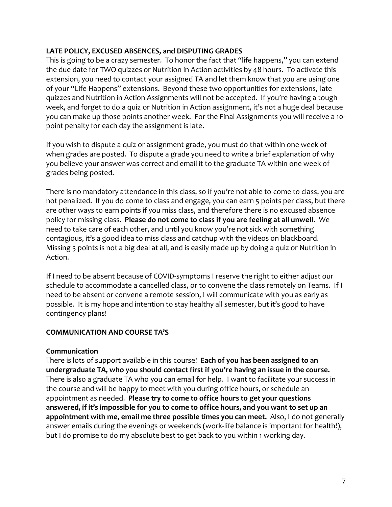## **LATE POLICY, EXCUSED ABSENCES, and DISPUTING GRADES**

This is going to be a crazy semester. To honor the fact that "life happens," you can extend the due date for TWO quizzes or Nutrition in Action activities by 48 hours. To activate this extension, you need to contact your assigned TA and let them know that you are using one of your "Life Happens" extensions. Beyond these two opportunities for extensions, late quizzes and Nutrition in Action Assignments will not be accepted. If you're having a tough week, and forget to do a quiz or Nutrition in Action assignment, it's not a huge deal because you can make up those points another week. For the Final Assignments you will receive a 10 point penalty for each day the assignment is late.

If you wish to dispute a quiz or assignment grade, you must do that within one week of when grades are posted. To dispute a grade you need to write a brief explanation of why you believe your answer was correct and email it to the graduate TA within one week of grades being posted.

There is no mandatory attendance in this class, so if you're not able to come to class, you are not penalized. If you do come to class and engage, you can earn 5 points per class, but there are other ways to earn points if you miss class, and therefore there is no excused absence policy for missing class. **Please do not come to class if you are feeling at all unwell**. We need to take care of each other, and until you know you're not sick with something contagious, it's a good idea to miss class and catchup with the videos on blackboard. Missing 5 points is not a big deal at all, and is easily made up by doing a quiz or Nutrition in Action.

If I need to be absent because of COVID-symptoms I reserve the right to either adjust our schedule to accommodate a cancelled class, or to convene the class remotely on Teams. If I need to be absent or convene a remote session, I will communicate with you as early as possible. It is my hope and intention to stay healthy all semester, but it's good to have contingency plans!

## **COMMUNICATION AND COURSE TA'S**

## **Communication**

There is lots of support available in this course! **Each of you has been assigned to an undergraduate TA, who you should contact first if you're having an issue in the course.** There is also a graduate TA who you can email for help. I want to facilitate your success in the course and will be happy to meet with you during office hours, or schedule an appointment as needed. **Please try to come to office hours to get your questions answered, if it's impossible for you to come to office hours, and you want to set up an appointment with me, email me three possible times you can meet.** Also, I do not generally answer emails during the evenings or weekends (work-life balance is important for health!), but I do promise to do my absolute best to get back to you within 1 working day.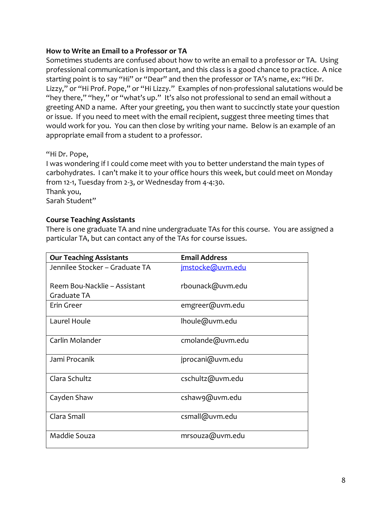## **How to Write an Email to a Professor or TA**

Sometimes students are confused about how to write an email to a professor or TA. Using professional communication is important, and this class is a good chance to practice. A nice starting point is to say "Hi" or "Dear" and then the professor or TA's name, ex: "Hi Dr. Lizzy," or "Hi Prof. Pope," or "Hi Lizzy." Examples of non-professional salutations would be "hey there," "hey," or "what's up." It's also not professional to send an email without a greeting AND a name. After your greeting, you then want to succinctly state your question or issue. If you need to meet with the email recipient, suggest three meeting times that would work for you. You can then close by writing your name. Below is an example of an appropriate email from a student to a professor.

## "Hi Dr. Pope,

I was wondering if I could come meet with you to better understand the main types of carbohydrates. I can't make it to your office hours this week, but could meet on Monday from 12-1, Tuesday from 2-3, or Wednesday from 4-4:30. Thank you, Sarah Student"

## **Course Teaching Assistants**

There is one graduate TA and nine undergraduate TAs for this course. You are assigned a particular TA, but can contact any of the TAs for course issues.

| <b>Our Teaching Assistants</b>              | <b>Email Address</b> |
|---------------------------------------------|----------------------|
| Jennilee Stocker - Graduate TA              | imstocke@uvm.edu     |
| Reem Bou-Nacklie - Assistant<br>Graduate TA | rbounack@uvm.edu     |
| Erin Greer                                  | emgreer@uvm.edu      |
| Laurel Houle                                | lhoule@uvm.edu       |
| Carlin Molander                             | cmolande@uvm.edu     |
| Jami Procanik                               | jprocani@uvm.edu     |
| Clara Schultz                               | cschultz@uvm.edu     |
| Cayden Shaw                                 | cshaw9@uvm.edu       |
| Clara Small                                 | csmall@uvm.edu       |
| Maddie Souza                                | mrsouza@uvm.edu      |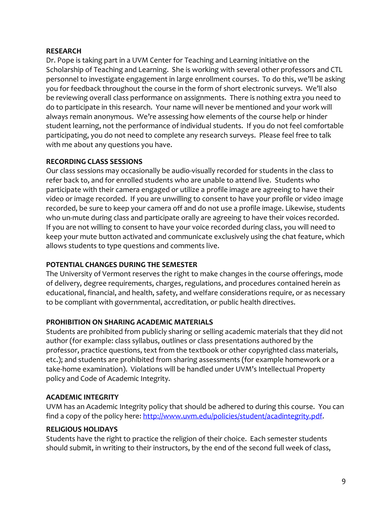## **RESEARCH**

Dr. Pope is taking part in a UVM Center for Teaching and Learning initiative on the Scholarship of Teaching and Learning. She is working with several other professors and CTL personnel to investigate engagement in large enrollment courses. To do this, we'll be asking you for feedback throughout the course in the form of short electronic surveys. We'll also be reviewing overall class performance on assignments. There is nothing extra you need to do to participate in this research. Your name will never be mentioned and your work will always remain anonymous. We're assessing how elements of the course help or hinder student learning, not the performance of individual students. If you do not feel comfortable participating, you do not need to complete any research surveys. Please feel free to talk with me about any questions you have.

### **RECORDING CLASS SESSIONS**

Our class sessions may occasionally be audio-visually recorded for students in the class to refer back to, and for enrolled students who are unable to attend live. Students who participate with their camera engaged or utilize a profile image are agreeing to have their video or image recorded. If you are unwilling to consent to have your profile or video image recorded, be sure to keep your camera off and do not use a profile image. Likewise, students who un-mute during class and participate orally are agreeing to have their voices recorded. If you are not willing to consent to have your voice recorded during class, you will need to keep your mute button activated and communicate exclusively using the chat feature, which allows students to type questions and comments live.

## **POTENTIAL CHANGES DURING THE SEMESTER**

The University of Vermont reserves the right to make changes in the course offerings, mode of delivery, degree requirements, charges, regulations, and procedures contained herein as educational, financial, and health, safety, and welfare considerations require, or as necessary to be compliant with governmental, accreditation, or public health directives.

## **PROHIBITION ON SHARING ACADEMIC MATERIALS**

Students are prohibited from publicly sharing or selling academic materials that they did not author (for example: class syllabus, outlines or class presentations authored by the professor, practice questions, text from the textbook or other copyrighted class materials, etc.); and students are prohibited from sharing assessments (for example homework or a take-home examination). Violations will be handled under UVM's Intellectual Property policy and Code of Academic Integrity.

## **ACADEMIC INTEGRITY**

UVM has an Academic Integrity policy that should be adhered to during this course. You can find a copy of the policy here: [http://www.uvm.edu/policies/student/acadintegrity.pdf.](http://www.uvm.edu/policies/student/acadintegrity.pdf)

#### **RELIGIOUS HOLIDAYS**

Students have the right to practice the religion of their choice. Each semester students should submit, in writing to their instructors, by the end of the second full week of class,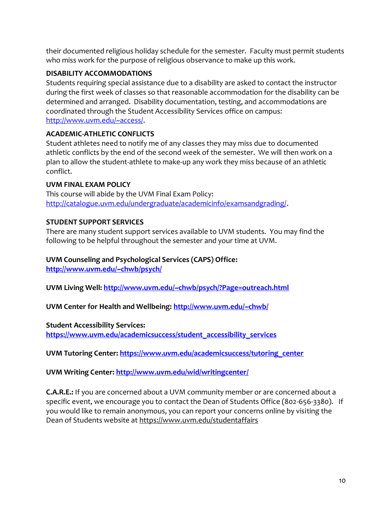their documented religious holiday schedule for the semester. Faculty must permit students who miss work for the purpose of religious observance to make up this work.

## **DISABILITY ACCOMMODATIONS**

Students requiring special assistance due to a disability are asked to contact the instructor during the first week of classes so that reasonable accommodation for the disability can be determined and arranged. Disability documentation, testing, and accommodations are coordinated through the Student Accessibility Services office on campus: [http://www.uvm.edu/~access/.](http://www.uvm.edu/~access/)

# **ACADEMIC-ATHLETIC CONFLICTS**

Student athletes need to notify me of any classes they may miss due to documented athletic conflicts by the end of the second week of the semester. We will then work on a plan to allow the student-athlete to make-up any work they miss because of an athletic conflict.

# **UVM FINAL EXAM POLICY**

This course will abide by the UVM Final Exam Policy: [http://catalogue.uvm.edu/undergraduate/academicinfo/examsandgrading/.](http://catalogue.uvm.edu/undergraduate/academicinfo/examsandgrading/)

# **STUDENT SUPPORT SERVICES**

There are many student support services available to UVM students. You may find the following to be helpful throughout the semester and your time at UVM.

# **UVM Counseling and Psychological Services (CAPS) Office:**

**<http://www.uvm.edu/~chwb/psych/>**

**UVM Living Well:<http://www.uvm.edu/~chwb/psych/?Page=outreach.html>**

**UVM Center for Health and Wellbeing:<http://www.uvm.edu/~chwb/>**

## **Student Accessibility Services:**

**[https://www.uvm.edu/academicsuccess/student\\_accessibility\\_services](https://www.uvm.edu/academicsuccess/student_accessibility_services)**

**UVM Tutoring Center: [https://www.uvm.edu/academicsuccess/tutoring\\_center](https://www.uvm.edu/academicsuccess/tutoring_center)**

# **UVM Writing Center:<http://www.uvm.edu/wid/writingcenter/>**

**C.A.R.E.:** If you are concerned about a UVM community member or are concerned about a specific event, we encourage you to contact the Dean of Students Office (802-656-3380). If you would like to remain anonymous, you can report your concerns online by visiting the Dean of Students website at<https://www.uvm.edu/studentaffairs>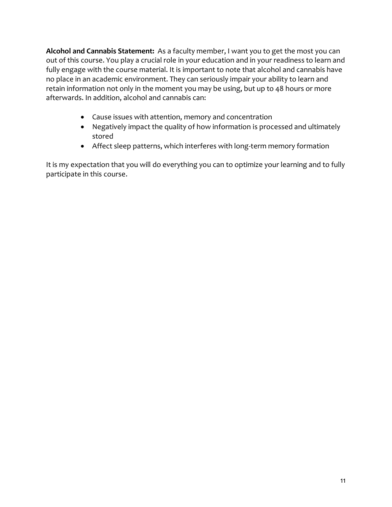**Alcohol and Cannabis Statement:** As a faculty member, I want you to get the most you can out of this course. You play a crucial role in your education and in your readiness to learn and fully engage with the course material. It is important to note that alcohol and cannabis have no place in an academic environment. They can seriously impair your ability to learn and retain information not only in the moment you may be using, but up to 48 hours or more afterwards. In addition, alcohol and cannabis can:

- Cause issues with attention, memory and concentration
- Negatively impact the quality of how information is processed and ultimately stored
- Affect sleep patterns, which interferes with long-term memory formation

It is my expectation that you will do everything you can to optimize your learning and to fully participate in this course.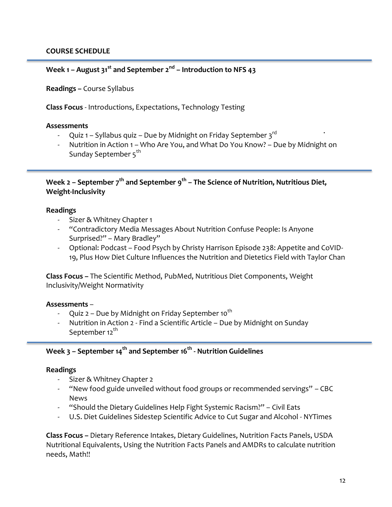## **Week 1 – August 31st and September 2nd – Introduction to NFS 43**

**Readings –** Course Syllabus

**Class Focus** - Introductions, Expectations, Technology Testing

#### **Assessments**

- Quiz 1 Syllabus quiz Due by Midnight on Friday September  $3^{rd}$
- Nutrition in Action 1 Who Are You, and What Do You Know? Due by Midnight on Sunday September 5<sup>th</sup>

**Week 2 – September 7th and September 9th – The Science of Nutrition, Nutritious Diet, Weight-Inclusivity** 

#### **Readings**

- Sizer & Whitney Chapter 1
- "Contradictory Media Messages About Nutrition Confuse People: Is Anyone Surprised?" – Mary Bradley"
- Optional: Podcast Food Psych by Christy Harrison Episode 238: Appetite and CoVID-19, Plus How Diet Culture Influences the Nutrition and Dietetics Field with Taylor Chan

**Class Focus –** The Scientific Method, PubMed, Nutritious Diet Components, Weight Inclusivity/Weight Normativity

## **Assessments** –

- Quiz 2 Due by Midnight on Friday September 10<sup>th</sup>
- Nutrition in Action 2 Find a Scientific Article Due by Midnight on Sunday September 12<sup>th</sup>

## **Week 3 – September 14th and September 16th - Nutrition Guidelines**

#### **Readings**

- Sizer & Whitney Chapter 2
- "New food guide unveiled without food groups or recommended servings" CBC News
- "Should the Dietary Guidelines Help Fight Systemic Racism?" Civil Eats
- U.S. Diet Guidelines Sidestep Scientific Advice to Cut Sugar and Alcohol NYTimes

**Class Focus –** Dietary Reference Intakes, Dietary Guidelines, Nutrition Facts Panels, USDA Nutritional Equivalents, Using the Nutrition Facts Panels and AMDRs to calculate nutrition needs, Math!!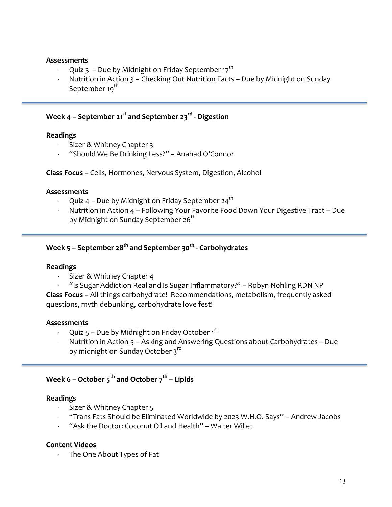### **Assessments**

- Quiz 3 Due by Midnight on Friday September 17<sup>th</sup>
- Nutrition in Action 3 Checking Out Nutrition Facts Due by Midnight on Sunday September 19<sup>th</sup>

## **Week 4 – September 21st and September 23rd - Digestion**

### **Readings**

- Sizer & Whitney Chapter 3
- "Should We Be Drinking Less?" Anahad O'Connor

**Class Focus –** Cells, Hormones, Nervous System, Digestion, Alcohol

### **Assessments**

- Quiz  $4$  Due by Midnight on Friday September 24<sup>th</sup>
- Nutrition in Action 4 Following Your Favorite Food Down Your Digestive Tract Due by Midnight on Sunday September 26<sup>th</sup>

# **Week 5 – September 28th and September 30th - Carbohydrates**

## **Readings**

Sizer & Whitney Chapter 4

- "Is Sugar Addiction Real and Is Sugar Inflammatory?" – Robyn Nohling RDN NP **Class Focus –** All things carbohydrate! Recommendations, metabolism, frequently asked questions, myth debunking, carbohydrate love fest!

## **Assessments**

- Quiz 5 Due by Midnight on Friday October 1st
- Nutrition in Action 5 Asking and Answering Questions about Carbohydrates Due by midnight on Sunday October 3<sup>rd</sup>

## **Week 6 – October 5th and October 7th – Lipids**

## **Readings**

- Sizer & Whitney Chapter 5
- "Trans Fats Should be Eliminated Worldwide by 2023 W.H.O. Says" Andrew Jacobs
- "Ask the Doctor: Coconut Oil and Health" Walter Willet

## **Content Videos**

- The One About Types of Fat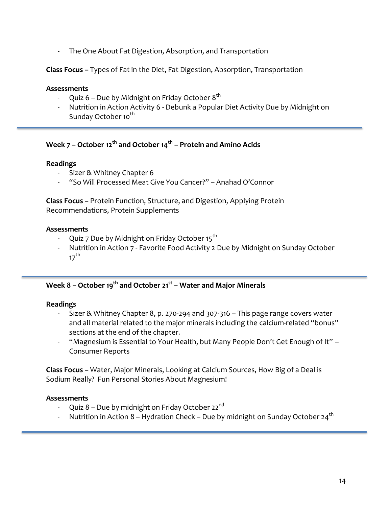The One About Fat Digestion, Absorption, and Transportation

**Class Focus –** Types of Fat in the Diet, Fat Digestion, Absorption, Transportation

### **Assessments**

- Quiz 6 Due by Midnight on Friday October  $8^{th}$
- Nutrition in Action Activity 6 Debunk a Popular Diet Activity Due by Midnight on Sunday October 10<sup>th</sup>

# **Week 7 – October 12th and October 14th – Protein and Amino Acids**

### **Readings**

- Sizer & Whitney Chapter 6
- "So Will Processed Meat Give You Cancer?" Anahad O'Connor

**Class Focus –** Protein Function, Structure, and Digestion, Applying Protein Recommendations, Protein Supplements

### **Assessments**

- Quiz 7 Due by Midnight on Friday October 15<sup>th</sup>
- Nutrition in Action 7 Favorite Food Activity 2 Due by Midnight on Sunday October  $17^{th}$

## **Week 8 – October 19th and October 21st – Water and Major Minerals**

## **Readings**

- Sizer & Whitney Chapter 8, p. 270-294 and 307-316 This page range covers water and all material related to the major minerals including the calcium-related "bonus" sections at the end of the chapter.
- "Magnesium is Essential to Your Health, but Many People Don't Get Enough of It" Consumer Reports

**Class Focus –** Water, Major Minerals, Looking at Calcium Sources, How Big of a Deal is Sodium Really? Fun Personal Stories About Magnesium!

## **Assessments**

- Quiz 8 Due by midnight on Friday October 22<sup>nd</sup>
- $\,$  Nutrition in Action 8 Hydration Check Due by midnight on Sunday October 24 $^{\rm th}$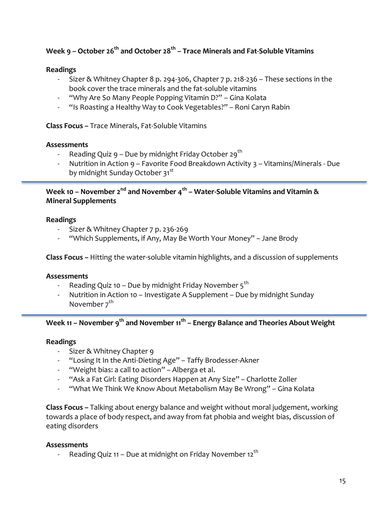# **Week 9 – October 26th and October 28th – Trace Minerals and Fat-Soluble Vitamins**

### **Readings**

- Sizer & Whitney Chapter 8 p. 294-306, Chapter 7 p. 218-236 These sections in the book cover the trace minerals and the fat-soluble vitamins
- "Why Are So Many People Popping Vitamin D?" Gina Kolata
- "Is Roasting a Healthy Way to Cook Vegetables?" Roni Caryn Rabin

**Class Focus –** Trace Minerals, Fat-Soluble Vitamins

### **Assessments**

- Reading Quiz  $9$  Due by midnight Friday October 29<sup>th</sup>
- Nutrition in Action 9 Favorite Food Breakdown Activity 3 Vitamins/Minerals Due by midnight Sunday October 31<sup>st</sup>

## **Week 10 – November 2nd and November 4th – Water-Soluble Vitamins and Vitamin & Mineral Supplements**

### **Readings**

- Sizer & Whitney Chapter 7 p. 236-269
- "Which Supplements, if Any, May Be Worth Your Money" Jane Brody

**Class Focus –** Hitting the water-soluble vitamin highlights, and a discussion of supplements

#### **Assessments**

- Reading Quiz 10 Due by midnight Friday November  $5<sup>th</sup>$
- Nutrition in Action 10 Investigate A Supplement Due by midnight Sunday November 7<sup>th</sup>

## **Week 11 – November 9th and November 11th – Energy Balance and Theories About Weight**

#### **Readings**

- Sizer & Whitney Chapter 9
- "Losing It In the Anti-Dieting Age" Taffy Brodesser-Akner
- "Weight bias: a call to action" Alberga et al.
- "Ask a Fat Girl: Eating Disorders Happen at Any Size" Charlotte Zoller
- "What We Think We Know About Metabolism May Be Wrong" Gina Kolata

**Class Focus –** Talking about energy balance and weight without moral judgement, working towards a place of body respect, and away from fat phobia and weight bias, discussion of eating disorders

#### **Assessments**

Reading Quiz 11 – Due at midnight on Friday November 12<sup>th</sup>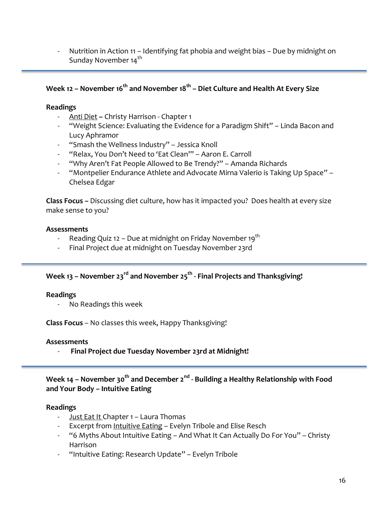Nutrition in Action 11 – Identifying fat phobia and weight bias – Due by midnight on Sunday November 14th

# **Week 12 – November 16th and November 18th – Diet Culture and Health At Every Size**

### **Readings**

- Anti Diet **–** Christy Harrison Chapter 1
- "Weight Science: Evaluating the Evidence for a Paradigm Shift" Linda Bacon and Lucy Aphramor
- "Smash the Wellness Industry" Jessica Knoll
- "Relax, You Don't Need to 'Eat Clean'" Aaron E. Carroll
- "Why Aren't Fat People Allowed to Be Trendy?" Amanda Richards
- "Montpelier Endurance Athlete and Advocate Mirna Valerio is Taking Up Space" Chelsea Edgar

**Class Focus –** Discussing diet culture, how has it impacted you? Does health at every size make sense to you?

## **Assessments**

- Reading Quiz 12 Due at midnight on Friday November 19<sup>th</sup>
- Final Project due at midnight on Tuesday November 23rd

## **Week 13 – November 23rd and November 25th - Final Projects and Thanksgiving!**

## **Readings**

- No Readings this week

**Class Focus** – No classes this week, Happy Thanksgiving!

## **Assessments**

- **Final Project due Tuesday November 23rd at Midnight!**

## **Week 14 – November 30th and December 2nd - Building a Healthy Relationship with Food and Your Body – Intuitive Eating**

## **Readings**

- Just Eat It Chapter 1 Laura Thomas
- Excerpt from Intuitive Eating Evelyn Tribole and Elise Resch
- "6 Myths About Intuitive Eating And What It Can Actually Do For You" Christy Harrison
- "Intuitive Eating: Research Update" Evelyn Tribole